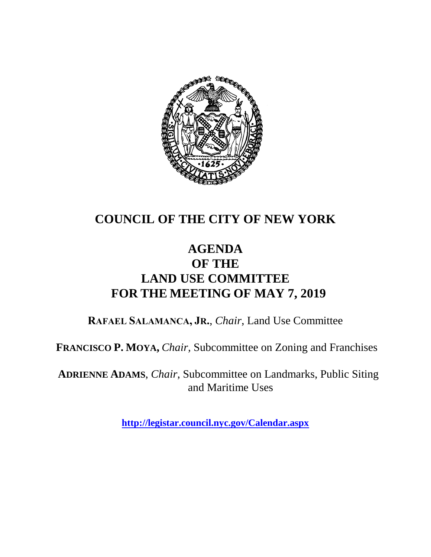

## **COUNCIL OF THE CITY OF NEW YORK**

## **AGENDA OF THE LAND USE COMMITTEE FOR THE MEETING OF MAY 7, 2019**

**RAFAEL SALAMANCA, JR.**, *Chair*, Land Use Committee

**FRANCISCO P. MOYA,** *Chair,* Subcommittee on Zoning and Franchises

**ADRIENNE ADAMS**, *Chair*, Subcommittee on Landmarks, Public Siting and Maritime Uses

**<http://legistar.council.nyc.gov/Calendar.aspx>**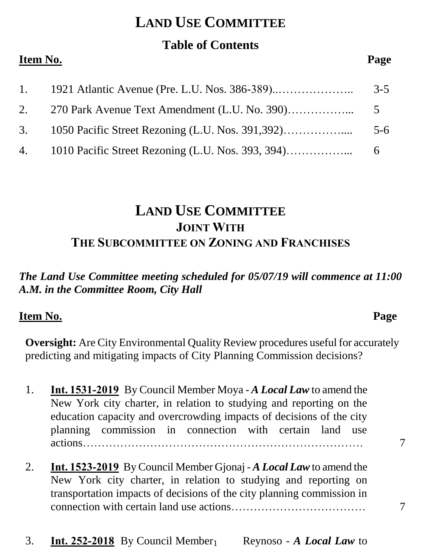## **LAND USE COMMITTEE**

### **Table of Contents**

#### **Item No. Page**

| 1. 1921 Atlantic Avenue (Pre. L.U. Nos. 386-389) | $3 - 5$ |
|--------------------------------------------------|---------|
|                                                  |         |
|                                                  |         |
|                                                  |         |

## **LAND USE COMMITTEE JOINT WITH THE SUBCOMMITTEE ON ZONING AND FRANCHISES**

#### *The Land Use Committee meeting scheduled for 05/07/19 will commence at 11:00 A.M. in the Committee Room, City Hall*

#### **Item No. Page**

**Oversight:** Are City Environmental Quality Review procedures useful for accurately predicting and mitigating impacts of City Planning Commission decisions?

- 1. **Int. 1531-2019** By Council Member Moya *A Local Law* to amend the New York city charter, in relation to studying and reporting on the education capacity and overcrowding impacts of decisions of the city planning commission in connection with certain land use actions………………………………………………………………… 7
- 2. **Int. 1523-2019** By Council Member Gjonaj *A Local Law* to amend the New York city charter, in relation to studying and reporting on transportation impacts of decisions of the city planning commission in connection with certain land use actions……………………………… 7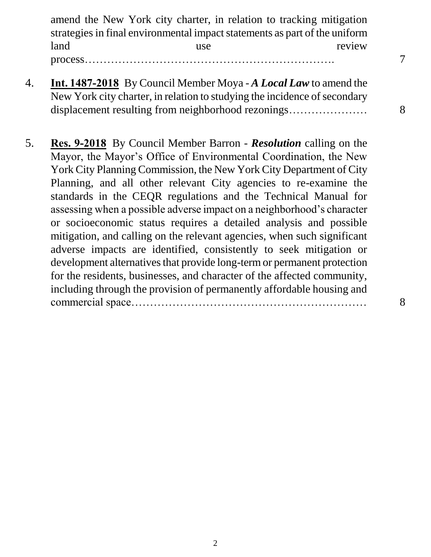amend the New York city charter, in relation to tracking mitigation strategies in final environmental impact statements as part of the uniform land use use review process…………………………………………………………. 7

- 4. **Int. 1487-2018** By Council Member Moya *A Local Law* to amend the New York city charter, in relation to studying the incidence of secondary displacement resulting from neighborhood rezonings………………… 8
- 5. **Res. 9-2018** By Council Member Barron *Resolution* calling on the Mayor, the Mayor's Office of Environmental Coordination, the New York City Planning Commission, the New York City Department of City Planning, and all other relevant City agencies to re-examine the standards in the CEQR regulations and the Technical Manual for assessing when a possible adverse impact on a neighborhood's character or socioeconomic status requires a detailed analysis and possible mitigation, and calling on the relevant agencies, when such significant adverse impacts are identified, consistently to seek mitigation or development alternatives that provide long-term or permanent protection for the residents, businesses, and character of the affected community, including through the provision of permanently affordable housing and commercial space……………………………………………………… 8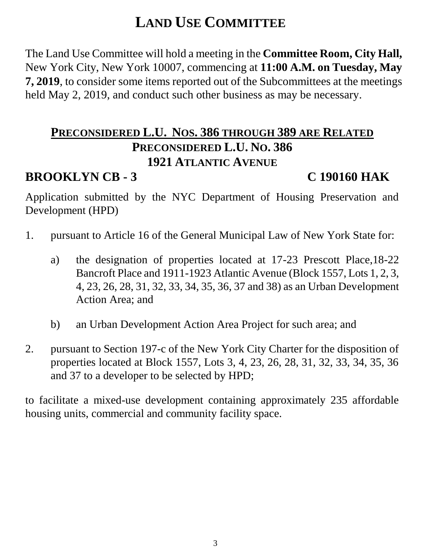# **LAND USE COMMITTEE**

The Land Use Committee will hold a meeting in the **Committee Room, City Hall,**  New York City, New York 10007, commencing at **11:00 A.M. on Tuesday, May 7, 2019**, to consider some items reported out of the Subcommittees at the meetings held May 2, 2019, and conduct such other business as may be necessary.

## **PRECONSIDERED L.U. NOS. 386 THROUGH 389 ARE RELATED PRECONSIDERED L.U. NO. 386 1921 ATLANTIC AVENUE**

## **BROOKLYN CB - 3 C 190160 HAK**

Application submitted by the NYC Department of Housing Preservation and Development (HPD)

- 1. pursuant to Article 16 of the General Municipal Law of New York State for:
	- a) the designation of properties located at 17-23 Prescott Place,18-22 Bancroft Place and 1911-1923 Atlantic Avenue (Block 1557, Lots 1, 2, 3, 4, 23, 26, 28, 31, 32, 33, 34, 35, 36, 37 and 38) as an Urban Development Action Area; and
	- b) an Urban Development Action Area Project for such area; and
- 2. pursuant to Section 197-c of the New York City Charter for the disposition of properties located at Block 1557, Lots 3, 4, 23, 26, 28, 31, 32, 33, 34, 35, 36 and 37 to a developer to be selected by HPD;

to facilitate a mixed-use development containing approximately 235 affordable housing units, commercial and community facility space.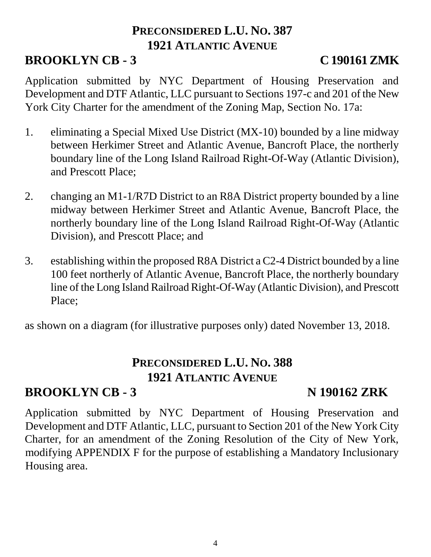### **PRECONSIDERED L.U. NO. 387 1921 ATLANTIC AVENUE**

## **BROOKLYN CB - 3 C 190161 ZMK**

Application submitted by NYC Department of Housing Preservation and Development and DTF Atlantic, LLC pursuant to Sections 197-c and 201 of the New York City Charter for the amendment of the Zoning Map, Section No. 17a:

- 1. eliminating a Special Mixed Use District (MX-10) bounded by a line midway between Herkimer Street and Atlantic Avenue, Bancroft Place, the northerly boundary line of the Long Island Railroad Right-Of-Way (Atlantic Division), and Prescott Place;
- 2. changing an M1-1/R7D District to an R8A District property bounded by a line midway between Herkimer Street and Atlantic Avenue, Bancroft Place, the northerly boundary line of the Long Island Railroad Right-Of-Way (Atlantic Division), and Prescott Place; and
- 3. establishing within the proposed R8A District a C2-4 District bounded by a line 100 feet northerly of Atlantic Avenue, Bancroft Place, the northerly boundary line of the Long Island Railroad Right-Of-Way (Atlantic Division), and Prescott Place;

as shown on a diagram (for illustrative purposes only) dated November 13, 2018.

## **PRECONSIDERED L.U. NO. 388 1921 ATLANTIC AVENUE**

### **BROOKLYN CB - 3** N 190162 ZRK

Application submitted by NYC Department of Housing Preservation and Development and DTF Atlantic, LLC, pursuant to Section 201 of the New York City Charter, for an amendment of the Zoning Resolution of the City of New York, modifying APPENDIX F for the purpose of establishing a Mandatory Inclusionary Housing area.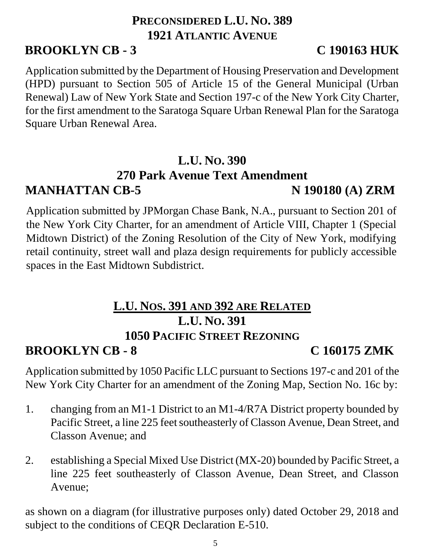## **PRECONSIDERED L.U. NO. 389 1921 ATLANTIC AVENUE**

## **BROOKLYN CB - 3 C 190163 HUK**

Application submitted by the Department of Housing Preservation and Development (HPD) pursuant to Section 505 of Article 15 of the General Municipal (Urban Renewal) Law of New York State and Section 197-c of the New York City Charter, for the first amendment to the Saratoga Square Urban Renewal Plan for the Saratoga Square Urban Renewal Area.

### **L.U. NO. 390 270 Park Avenue Text Amendment MANHATTAN CB-5** N 190180 (A) ZRM

Application submitted by JPMorgan Chase Bank, N.A., pursuant to Section 201 of the New York City Charter, for an amendment of Article VIII, Chapter 1 (Special Midtown District) of the Zoning Resolution of the City of New York, modifying retail continuity, street wall and plaza design requirements for publicly accessible spaces in the East Midtown Subdistrict.

## **L.U. NOS. 391 AND 392 ARE RELATED L.U. NO. 391 1050 PACIFIC STREET REZONING**

**BROOKLYN CB - 8 C 160175 ZMK** 

Application submitted by 1050 Pacific LLC pursuant to Sections 197-c and 201 of the New York City Charter for an amendment of the Zoning Map, Section No. 16c by:

- 1. changing from an M1-1 District to an M1-4/R7A District property bounded by Pacific Street, a line 225 feet southeasterly of Classon Avenue, Dean Street, and Classon Avenue; and
- 2. establishing a Special Mixed Use District (MX-20) bounded by Pacific Street, a line 225 feet southeasterly of Classon Avenue, Dean Street, and Classon Avenue;

as shown on a diagram (for illustrative purposes only) dated October 29, 2018 and subject to the conditions of CEQR Declaration E-510.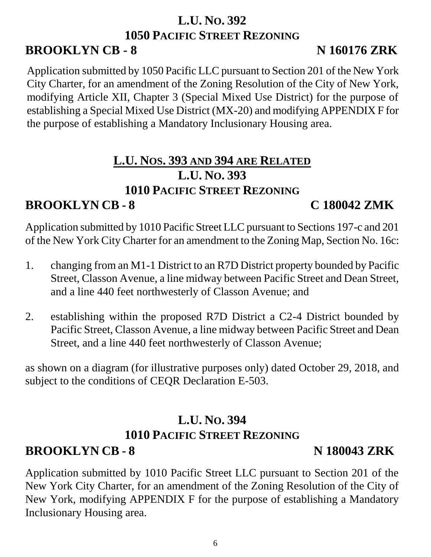### **L.U. NO. 392 1050 PACIFIC STREET REZONING BROOKLYN CB - 8** N 160176 ZRK

Application submitted by 1050 Pacific LLC pursuant to Section 201 of the New York City Charter, for an amendment of the Zoning Resolution of the City of New York, modifying Article XII, Chapter 3 (Special Mixed Use District) for the purpose of establishing a Special Mixed Use District (MX-20) and modifying APPENDIX F for the purpose of establishing a Mandatory Inclusionary Housing area.

### **L.U. NOS. 393 AND 394 ARE RELATED L.U. NO. 393 1010 PACIFIC STREET REZONING BROOKLYN CB - 8 C 180042 ZMK**

Application submitted by 1010 Pacific Street LLC pursuant to Sections 197-c and 201 of the New York City Charter for an amendment to the Zoning Map, Section No. 16c:

- 1. changing from an M1-1 District to an R7D District property bounded by Pacific Street, Classon Avenue, a line midway between Pacific Street and Dean Street, and a line 440 feet northwesterly of Classon Avenue; and
- 2. establishing within the proposed R7D District a C2-4 District bounded by Pacific Street, Classon Avenue, a line midway between Pacific Street and Dean Street, and a line 440 feet northwesterly of Classon Avenue;

as shown on a diagram (for illustrative purposes only) dated October 29, 2018, and subject to the conditions of CEQR Declaration E-503.

# **L.U. NO. 394 1010 PACIFIC STREET REZONING**

## **BROOKLYN CB - 8 N 180043 ZRK**

Application submitted by 1010 Pacific Street LLC pursuant to Section 201 of the New York City Charter, for an amendment of the Zoning Resolution of the City of New York, modifying APPENDIX F for the purpose of establishing a Mandatory Inclusionary Housing area.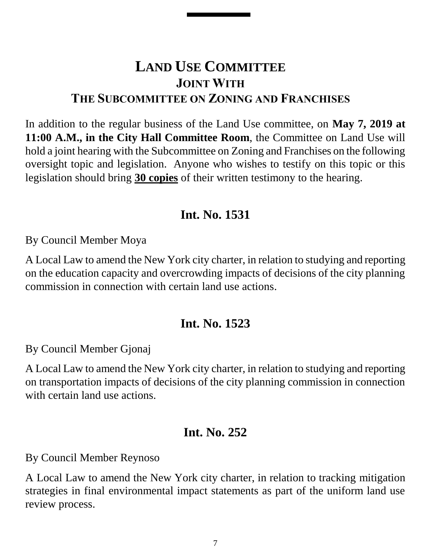## **LAND USE COMMITTEE JOINT WITH THE SUBCOMMITTEE ON ZONING AND FRANCHISES**

In addition to the regular business of the Land Use committee, on **May 7, 2019 at 11:00 A.M., in the City Hall Committee Room**, the Committee on Land Use will hold a joint hearing with the Subcommittee on Zoning and Franchises on the following oversight topic and legislation. Anyone who wishes to testify on this topic or this legislation should bring **30 copies** of their written testimony to the hearing.

#### **Int. No. 1531**

By Council Member Moya

A Local Law to amend the New York city charter, in relation to studying and reporting on the education capacity and overcrowding impacts of decisions of the city planning commission in connection with certain land use actions.

### **Int. No. 1523**

By Council Member Gjonaj

A Local Law to amend the New York city charter, in relation to studying and reporting on transportation impacts of decisions of the city planning commission in connection with certain land use actions.

#### **Int. No. 252**

By Council Member Reynoso

A Local Law to amend the New York city charter, in relation to tracking mitigation strategies in final environmental impact statements as part of the uniform land use review process.